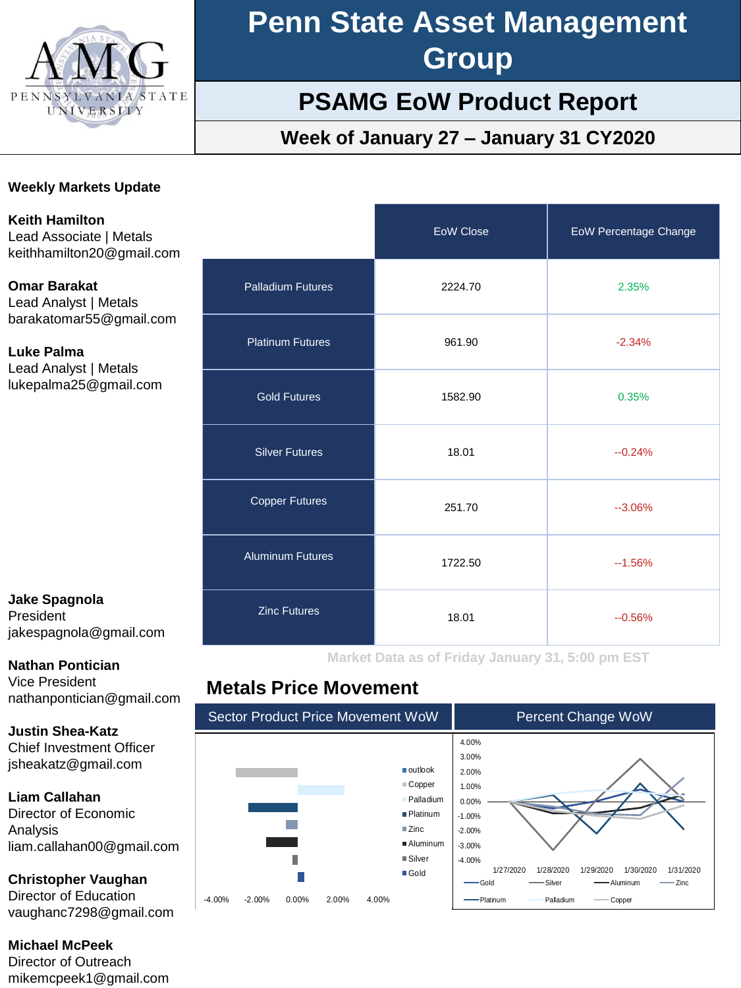

# **Penn State Asset Management Group**

# **PSAMG EoW Product Report**

# **Week of January 27 – January 31 CY2020**

#### **Weekly Markets Update**

**Keith Hamilton** Lead Associate | Metals keithhamilton20@gmail.com

**Omar Barakat** Lead Analyst | Metals barakatomar55@gmail.com

**Luke Palma** Lead Analyst | Metals lukepalma25@gmail.com

#### **Jake Spagnola** President jakespagnola@gmail.com

**Nathan Pontician**

Vice President nathanpontician@gmail.com

**Justin Shea-Katz** Chief Investment Officer jsheakatz@gmail.com

#### **Liam Callahan**

Director of Economic Analysis liam.callahan00@gmail.com

#### **Christopher Vaughan**

Director of Education vaughanc7298@gmail.com

**Michael McPeek**

Director of Outreach mikemcpeek1@gmail.com

|                          | <b>EoW Close</b> | <b>EoW Percentage Change</b> |
|--------------------------|------------------|------------------------------|
| <b>Palladium Futures</b> | 2224.70          | 2.35%                        |
| <b>Platinum Futures</b>  | 961.90           | $-2.34%$                     |
| <b>Gold Futures</b>      | 1582.90          | 0.35%                        |
| <b>Silver Futures</b>    | 18.01            | $-0.24%$                     |
| <b>Copper Futures</b>    | 251.70           | $-3.06%$                     |
| <b>Aluminum Futures</b>  | 1722.50          | $-1.56%$                     |
| <b>Zinc Futures</b>      | 18.01            | $-0.56%$                     |

**Market Data as of Friday January 31, 5:00 pm EST**

### **Metals Price Movement**